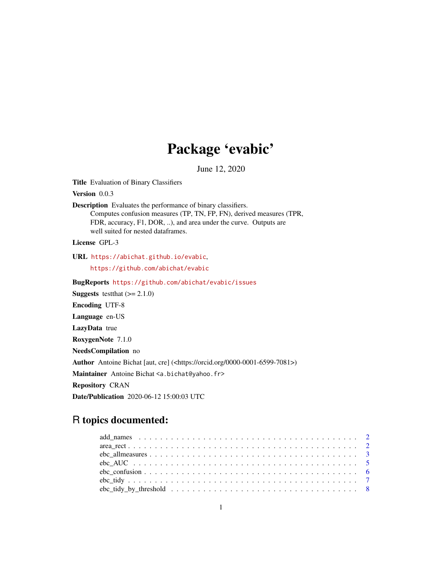# Package 'evabic'

June 12, 2020

Title Evaluation of Binary Classifiers

Version 0.0.3

Description Evaluates the performance of binary classifiers. Computes confusion measures (TP, TN, FP, FN), derived measures (TPR, FDR, accuracy, F1, DOR, ..), and area under the curve. Outputs are well suited for nested dataframes.

License GPL-3

URL <https://abichat.github.io/evabic>,

<https://github.com/abichat/evabic>

BugReports <https://github.com/abichat/evabic/issues> **Suggests** test that  $(>= 2.1.0)$ Encoding UTF-8 Language en-US LazyData true RoxygenNote 7.1.0 NeedsCompilation no Author Antoine Bichat [aut, cre] (<https://orcid.org/0000-0001-6599-7081>) Maintainer Antoine Bichat <a.bichat@yahoo.fr> Repository CRAN Date/Publication 2020-06-12 15:00:03 UTC

# R topics documented: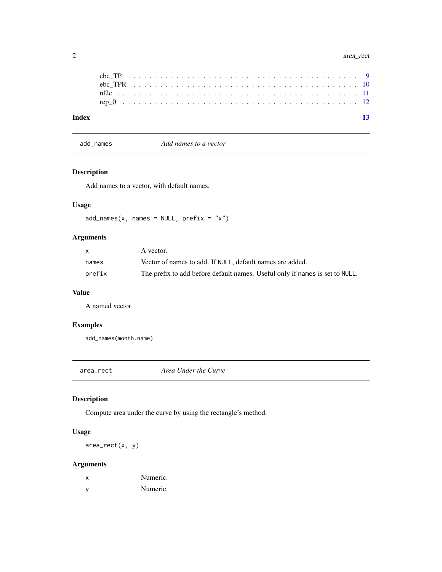<span id="page-1-0"></span>

| Index |  |  |  |  |  |  |  |  |  |  |  |  |  |  |  |  |  |  |  |  |  | - 13 |
|-------|--|--|--|--|--|--|--|--|--|--|--|--|--|--|--|--|--|--|--|--|--|------|
|       |  |  |  |  |  |  |  |  |  |  |  |  |  |  |  |  |  |  |  |  |  |      |
|       |  |  |  |  |  |  |  |  |  |  |  |  |  |  |  |  |  |  |  |  |  |      |
|       |  |  |  |  |  |  |  |  |  |  |  |  |  |  |  |  |  |  |  |  |  |      |
|       |  |  |  |  |  |  |  |  |  |  |  |  |  |  |  |  |  |  |  |  |  |      |

add\_names *Add names to a vector*

### Description

Add names to a vector, with default names.

#### Usage

 $add\_names(x, names = NULL, prefix = "x")$ 

#### Arguments

| X      | A vector.                                                                    |
|--------|------------------------------------------------------------------------------|
| names  | Vector of names to add. If NULL, default names are added.                    |
| prefix | The prefix to add before default names. Useful only if names is set to NULL. |

#### Value

A named vector

#### Examples

add\_names(month.name)

area\_rect *Area Under the Curve*

#### Description

Compute area under the curve by using the rectangle's method.

#### Usage

area\_rect(x, y)

#### Arguments

| x   | Numeric. |
|-----|----------|
| - V | Numeric. |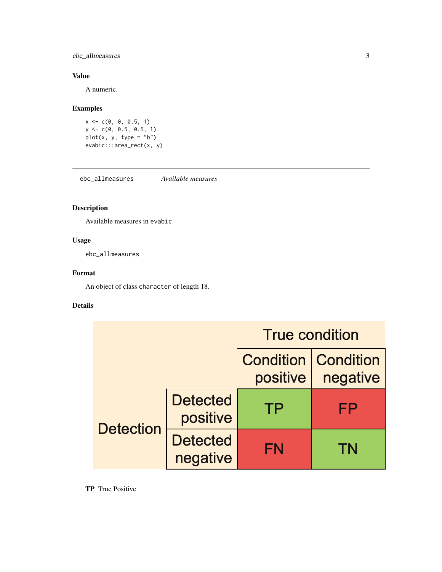### <span id="page-2-0"></span>ebc\_allmeasures 3

#### Value

A numeric.

#### Examples

```
x \leq -c(0, 0, 0.5, 1)y <- c(0, 0.5, 0.5, 1)
plot(x, y, type = "b")evabic:::area_rect(x, y)
```
<span id="page-2-1"></span>ebc\_allmeasures *Available measures*

### Description

Available measures in evabic

#### Usage

ebc\_allmeasures

#### Format

An object of class character of length 18.

#### Details

|                  |                             | <b>True condition</b> |                                          |
|------------------|-----------------------------|-----------------------|------------------------------------------|
|                  |                             | positive              | <b>Condition   Condition</b><br>negative |
| <b>Detection</b> | <b>Detected</b><br>positive | TP                    | FP                                       |
|                  | <b>Detected</b><br>negative | FN                    | TN                                       |

TP True Positive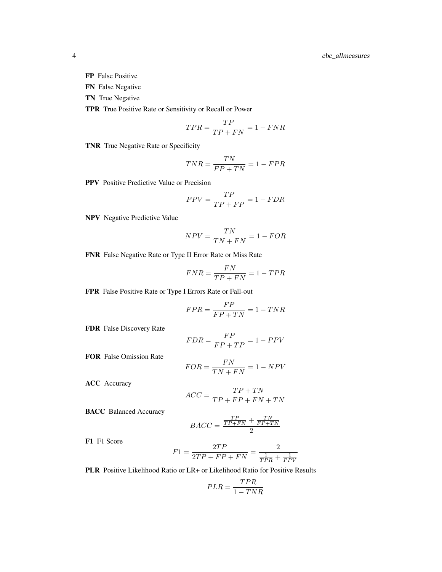- FP False Positive
- FN False Negative
- TN True Negative

TPR True Positive Rate or Sensitivity or Recall or Power

$$
TPR = \frac{TP}{TP + FN} = 1 - FNR
$$

TNR True Negative Rate or Specificity

$$
TNR = \frac{TN}{FP + TN} = 1 - FPR
$$

PPV Positive Predictive Value or Precision

$$
PPV = \frac{TP}{TP + FP} = 1 - FDR
$$

NPV Negative Predictive Value

$$
NPV = \frac{TN}{TN + FN} = 1 - FOR
$$

FNR False Negative Rate or Type II Error Rate or Miss Rate

$$
FNR = \frac{FN}{TP + FN} = 1 - TPR
$$

FPR False Positive Rate or Type I Errors Rate or Fall-out

$$
FPR = \frac{FP}{FP + TN} = 1 - TNR
$$

FDR False Discovery Rate

$$
FDR = \frac{FP}{FP + TP} = 1 - PPV
$$

FOR False Omission Rate

$$
FOR = \frac{FN}{TN + FN} = 1 - NPV
$$

ACC Accuracy

$$
ACC = \frac{TP + TN}{TP + FP + FN + TN}
$$

BACC Balanced Accuracy

$$
BACC = \frac{\frac{TP}{TP + FN} + \frac{TN}{FP + TN}}{2}
$$

F1 F1 Score

$$
F1 = \frac{2TP}{2TP + FP + FN} = \frac{2}{\frac{1}{TPR} + \frac{1}{PPV}}
$$

PLR Positive Likelihood Ratio or LR+ or Likelihood Ratio for Positive Results

$$
PLR = \frac{TPR}{1 - TNR}
$$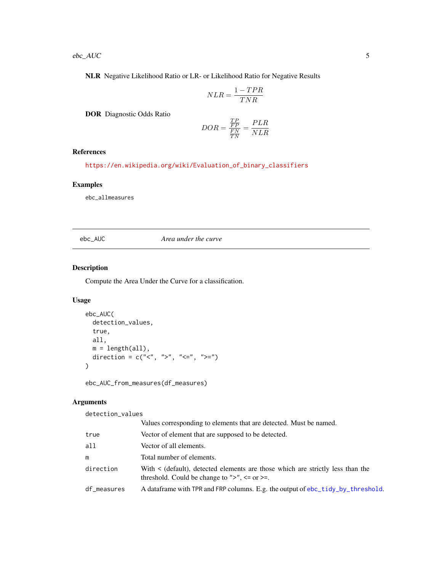<span id="page-4-0"></span>NLR Negative Likelihood Ratio or LR- or Likelihood Ratio for Negative Results

$$
NLR = \frac{1 - TPR}{TNR}
$$

DOR Diagnostic Odds Ratio

$$
DOR = \frac{\frac{TP}{FP}}{\frac{FN}{TN}} = \frac{PLR}{NLR}
$$

#### References

[https://en.wikipedia.org/wiki/Evaluation\\_of\\_binary\\_classifiers](https://en.wikipedia.org/wiki/Evaluation_of_binary_classifiers)

#### Examples

ebc\_allmeasures

ebc\_AUC *Area under the curve*

#### Description

Compute the Area Under the Curve for a classification.

#### Usage

```
ebc_AUC(
  detection_values,
  true,
  all,
  m = length(all),
  direction = c("<sup>''</sup>, ">", "<=", ">=")\mathcal{L}
```
ebc\_AUC\_from\_measures(df\_measures)

#### Arguments

detection\_values

|             | Values corresponding to elements that are detected. Must be named.                                                                     |
|-------------|----------------------------------------------------------------------------------------------------------------------------------------|
| true        | Vector of element that are supposed to be detected.                                                                                    |
| all         | Vector of all elements.                                                                                                                |
| m           | Total number of elements.                                                                                                              |
| direction   | With $\le$ (default), detected elements are those which are strictly less than the<br>threshold. Could be change to ">", $\leq$ or >=. |
| df_measures | A data frame with TPR and FRP columns. E.g. the output of ebc_tidy_by_threshold.                                                       |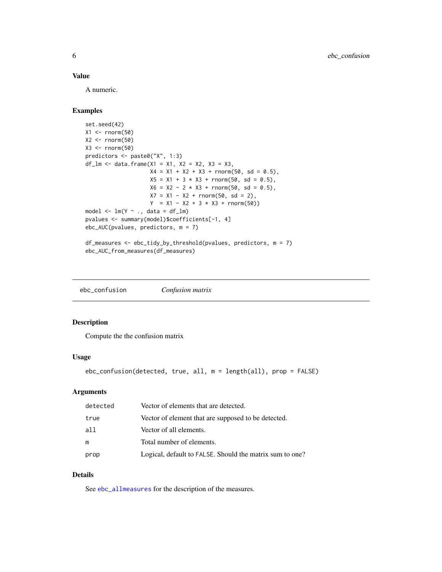#### <span id="page-5-0"></span>Value

A numeric.

#### Examples

```
set.seed(42)
X1 \leftarrow \text{norm}(50)X2 \leftarrow \text{norm}(50)X3 \leftarrow \text{norm}(50)predictors <- paste0("X", 1:3)
df_l = \text{data}.\text{frame}(X1 = X1, X2 = X2, X3 = X3,X4 = X1 + X2 + X3 + \text{rnorm}(50, \text{sd} = 0.5),X5 = X1 + 3 \times X3 + \text{rnorm}(50, \text{sd} = 0.5),X6 = X2 - 2 \times X3 + \text{rnorm}(50, \text{sd} = 0.5),X7 = X1 - X2 + \text{rnorm}(50, \text{sd} = 2),Y = X1 - X2 + 3 \times X3 + \text{rnorm}(50)model \leq \text{Im}(Y \sim ., \text{ data} = df_{\text{min}})pvalues <- summary(model)$coefficients[-1, 4]
ebc_AUC(pvalues, predictors, m = 7)
df_measures <- ebc_tidy_by_threshold(pvalues, predictors, m = 7)
```

```
ebc_AUC_from_measures(df_measures)
```
ebc\_confusion *Confusion matrix*

#### Description

Compute the the confusion matrix

#### Usage

ebc\_confusion(detected, true, all, m = length(all), prop = FALSE)

#### Arguments

| detected | Vector of elements that are detected.                    |
|----------|----------------------------------------------------------|
| true     | Vector of element that are supposed to be detected.      |
| all      | Vector of all elements.                                  |
| m        | Total number of elements.                                |
| prop     | Logical, default to FALSE. Should the matrix sum to one? |

#### Details

See [ebc\\_allmeasures](#page-2-1) for the description of the measures.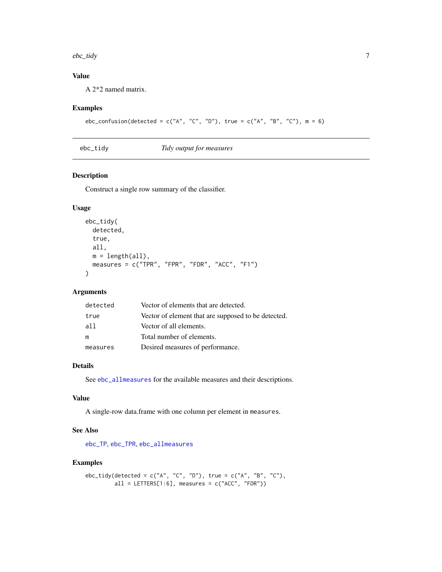#### <span id="page-6-0"></span>ebc\_tidy 7

### Value

A 2\*2 named matrix.

#### Examples

```
ebc_confusion(detected = c("A", "C", "D"), true = c("A", "B", "C"), m = 6)
```

```
ebc_tidy Tidy output for measures
```
#### Description

Construct a single row summary of the classifier.

#### Usage

```
ebc_tidy(
  detected,
  true,
  all,
  m = length(all),
  measures = c("TPR", "FPR", "FDR", "ACC", "F1")
\mathcal{L}
```
#### Arguments

| detected | Vector of elements that are detected.               |
|----------|-----------------------------------------------------|
| true     | Vector of element that are supposed to be detected. |
| a11      | Vector of all elements.                             |
| m        | Total number of elements.                           |
| measures | Desired measures of performance.                    |

#### Details

See [ebc\\_allmeasures](#page-2-1) for the available measures and their descriptions.

#### Value

A single-row data.frame with one column per element in measures.

#### See Also

[ebc\\_TP](#page-8-1), [ebc\\_TPR](#page-9-1), [ebc\\_allmeasures](#page-2-1)

#### Examples

```
ebc_tidy(detected = c("A", "C", "D"), true = c("A", "B", "C"),
        all = LETTERS[1:6], measures = c("ACC", "FDR"))
```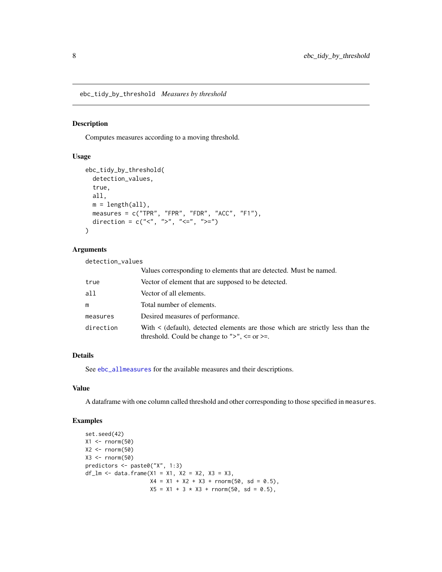<span id="page-7-1"></span><span id="page-7-0"></span>ebc\_tidy\_by\_threshold *Measures by threshold*

#### Description

Computes measures according to a moving threshold.

#### Usage

```
ebc_tidy_by_threshold(
  detection_values,
  true,
 all,
 m = length(all),
 measures = c("TPR", "FPR", "FDR", "ACC", "F1"),
 direction = c("<", ">", "<=", ">="))
```
#### Arguments

detection\_values

|           | Values corresponding to elements that are detected. Must be named.                                                                         |
|-----------|--------------------------------------------------------------------------------------------------------------------------------------------|
| true      | Vector of element that are supposed to be detected.                                                                                        |
| all       | Vector of all elements.                                                                                                                    |
| m         | Total number of elements.                                                                                                                  |
| measures  | Desired measures of performance.                                                                                                           |
| direction | With < (default), detected elements are those which are strictly less than the<br>threshold. Could be change to " $>$ ", $\le$ or $\ge$ =. |

#### Details

See [ebc\\_allmeasures](#page-2-1) for the available measures and their descriptions.

#### Value

A dataframe with one column called threshold and other corresponding to those specified in measures.

#### Examples

```
set.seed(42)
X1 \leftarrow \text{norm}(50)X2 \le- rnorm(50)X3 \leftarrow \text{norm}(50)predictors <- paste0("X", 1:3)
df_lm <- data.frame(x1 = x1, x2 = x2, x3 = x3,
                        X4 = X1 + X2 + X3 + \text{norm}(50, \text{sd} = 0.5),X5 = X1 + 3 * X3 + \text{norm}(50, \text{sd} = 0.5),
```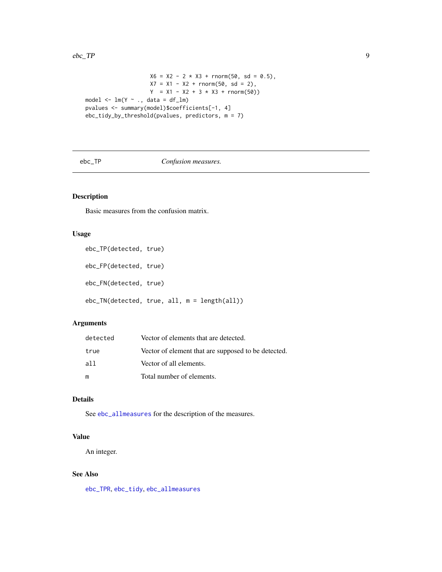#### <span id="page-8-0"></span> $ebc_T$  TP 9

```
X6 = X2 - 2 \times X3 + \text{rnorm}(50, \text{sd} = 0.5),X7 = X1 - X2 + \text{norm}(50, \text{sd} = 2),Y = X1 - X2 + 3 \times X3 + \text{rnorm}(50)model \leq -\ln(Y \sim ., \text{ data = df\_lm})pvalues <- summary(model)$coefficients[-1, 4]
ebc_tidy_by_threshold(pvalues, predictors, m = 7)
```
#### <span id="page-8-1"></span>ebc\_TP *Confusion measures.*

#### Description

Basic measures from the confusion matrix.

#### Usage

```
ebc_TP(detected, true)
```
ebc\_FP(detected, true)

ebc\_FN(detected, true)

ebc\_TN(detected, true, all, m = length(all))

#### Arguments

| detected | Vector of elements that are detected.               |
|----------|-----------------------------------------------------|
| true     | Vector of element that are supposed to be detected. |
| all      | Vector of all elements.                             |
| m        | Total number of elements.                           |

#### Details

See [ebc\\_allmeasures](#page-2-1) for the description of the measures.

#### Value

An integer.

#### See Also

[ebc\\_TPR](#page-9-1), [ebc\\_tidy](#page-6-1), [ebc\\_allmeasures](#page-2-1)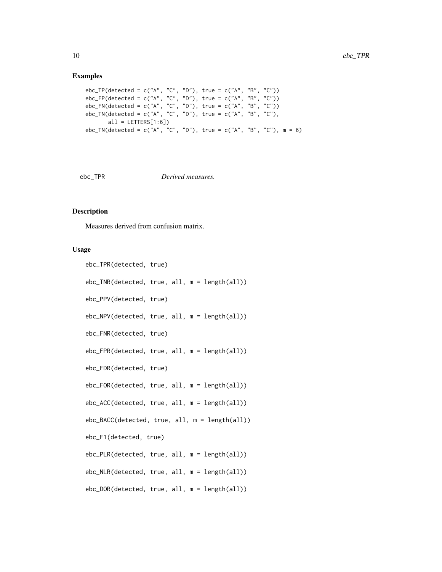#### Examples

```
ebc_TP(detected = c("A", "C", "D"), true = c("A", "B", "C"))
ebc_FP(detected = c("A", "C", "D"), true = c("A", "B", "C"))
ebc_FN(detected = c("A", "C", "D"), true = c("A", "B", "C"))
ebc_TN(detected = c("A", "C", "D"), true = c("A", "B", "C"),
      all = LETTERS[1:6])ebc_TN(detected = c("A", "C", "D"), true = c("A", "B", "C"), m = 6)
```
<span id="page-9-1"></span>

ebc\_TPR *Derived measures.*

#### Description

Measures derived from confusion matrix.

#### Usage

```
ebc_TPR(detected, true)
ebc_TNR(detected, true, all, m = length(all))
ebc_PPV(detected, true)
ebc_NPV(detected, true, all, m = length(all))
ebc_FNR(detected, true)
ebc_FPR(detected, true, all, m = length(all))
ebc_FDR(detected, true)
ebc_FOR(detected, true, all, m = length(all))
ebc_ACC(detected, true, all, m = length(all))
ebc_BACC(detected, true, all, m = length(all))
ebc_F1(detected, true)
ebc_PLR(detected, true, all, m = length(all))
ebc_NLR(detected, true, all, m = length(all))
ebc_DOR(detected, true, all, m = length(all))
```
<span id="page-9-0"></span>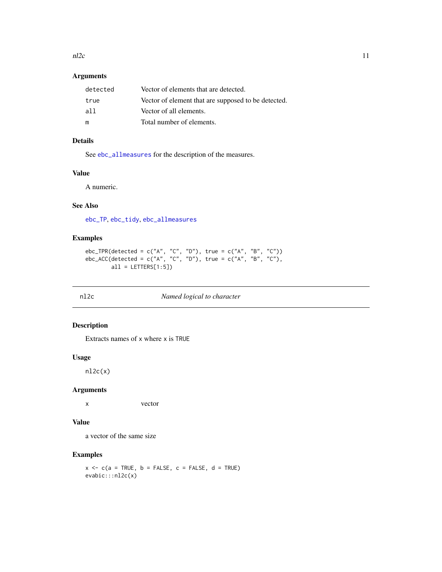<span id="page-10-0"></span> $n2c$  11

#### Arguments

| detected | Vector of elements that are detected.               |
|----------|-----------------------------------------------------|
| true     | Vector of element that are supposed to be detected. |
| all      | Vector of all elements.                             |
| m        | Total number of elements.                           |

#### Details

See [ebc\\_allmeasures](#page-2-1) for the description of the measures.

#### Value

A numeric.

#### See Also

[ebc\\_TP](#page-8-1), [ebc\\_tidy](#page-6-1), [ebc\\_allmeasures](#page-2-1)

#### Examples

```
ebc_TPR(detected = c("A", "C", "D"), true = c("A", "B", "C"))
ebc_ACC(detected = c("A", "C", "D"), true = c("A", "B", "C"),
       all = LETTERS[1:5])
```
#### nl2c *Named logical to character*

#### Description

Extracts names of x where x is TRUE

#### Usage

 $nlc(x)$ 

#### Arguments

x vector

#### Value

a vector of the same size

#### Examples

 $x \leq -c(a = TRUE, b = FALSE, c = FALSE, d = TRUE)$ evabic:::nl2c(x)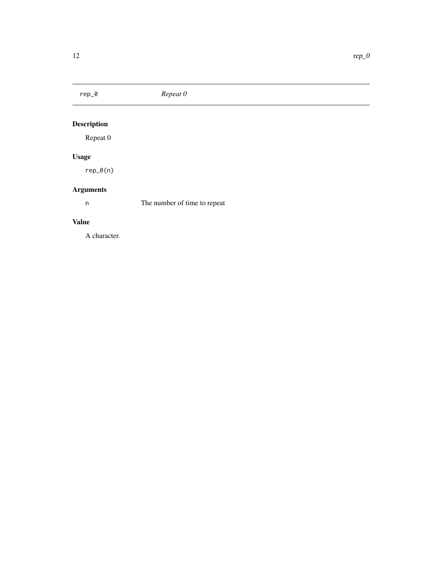<span id="page-11-0"></span>

# Description

Repeat 0

## Usage

rep\_0(n)

## Arguments

n The number of time to repeat

#### Value

A character.